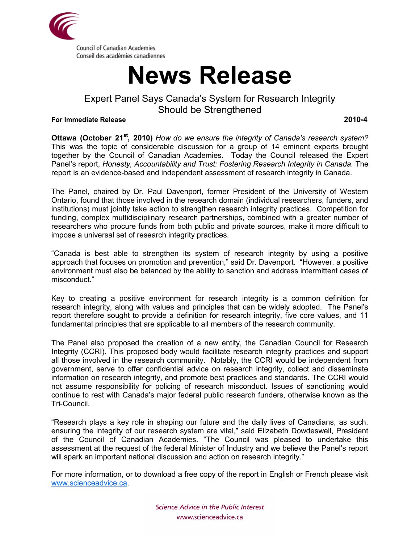

## **News Release**

## Expert Panel Says Canada's System for Research Integrity Should be Strengthened

## **For Immediate Release 2010-4**

**Ottawa (October 21st, 2010)** *How do we ensure the integrity of Canada's research system?* This was the topic of considerable discussion for a group of 14 eminent experts brought together by the Council of Canadian Academies. Today the Council released the Expert Panel's report, *Honesty, Accountability and Trust: Fostering Research Integrity in Canada.* The report is an evidence-based and independent assessment of research integrity in Canada.

The Panel, chaired by Dr. Paul Davenport, former President of the University of Western Ontario, found that those involved in the research domain (individual researchers, funders, and institutions) must jointly take action to strengthen research integrity practices. Competition for funding, complex multidisciplinary research partnerships, combined with a greater number of researchers who procure funds from both public and private sources, make it more difficult to impose a universal set of research integrity practices.

"Canada is best able to strengthen its system of research integrity by using a positive approach that focuses on promotion and prevention," said Dr. Davenport. "However, a positive environment must also be balanced by the ability to sanction and address intermittent cases of misconduct."

Key to creating a positive environment for research integrity is a common definition for research integrity, along with values and principles that can be widely adopted. The Panel's report therefore sought to provide a definition for research integrity, five core values, and 11 fundamental principles that are applicable to all members of the research community.

The Panel also proposed the creation of a new entity, the Canadian Council for Research Integrity (CCRI). This proposed body would facilitate research integrity practices and support all those involved in the research community. Notably, the CCRI would be independent from government, serve to offer confidential advice on research integrity, collect and disseminate information on research integrity, and promote best practices and standards. The CCRI would not assume responsibility for policing of research misconduct. Issues of sanctioning would continue to rest with Canada's major federal public research funders, otherwise known as the Tri-Council.

"Research plays a key role in shaping our future and the daily lives of Canadians, as such, ensuring the integrity of our research system are vital," said Elizabeth Dowdeswell, President of the Council of Canadian Academies. "The Council was pleased to undertake this assessment at the request of the federal Minister of Industry and we believe the Panel's report will spark an important national discussion and action on research integrity."

For more information, or to download a free copy of the report in English or French please visit [www.scienceadvice.ca.](http://www.scienceadvice.ca/researchintegrity)

> Science Advice in the Public Interest www.scienceadvice.ca